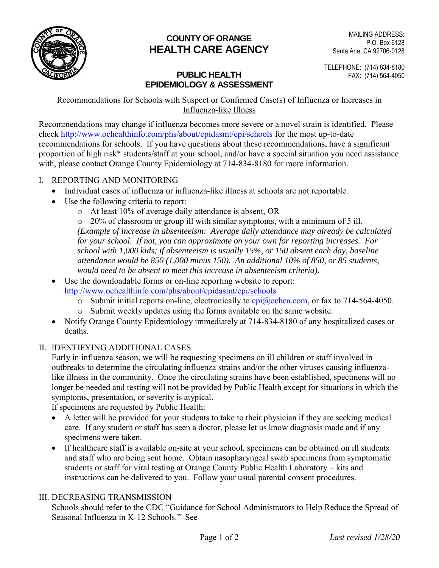

# **COUNTY OF ORANGE HEALTH CARE AGENCY**

## **PUBLIC HEALTH** FAX: (714) 564-4050 **EPIDEMIOLOGY & ASSESSMENT**

TELEPHONE: (714) 834-8180

#### Recommendations for Schools with Suspect or Confirmed Case(s) of Influenza or Increases in Influenza-like Illness

Recommendations may change if influenza becomes more severe or a novel strain is identified. Please check <http://www.ochealthinfo.com/phs/about/epidasmt/epi/schools> for the most up-to-date recommendations for schools. If you have questions about these recommendations, have a significant proportion of high risk\* students/staff at your school, and/or have a special situation you need assistance with, please contact Orange County Epidemiology at 714-834-8180 for more information.

- I. REPORTING AND MONITORING
	- Individual cases of influenza or influenza-like illness at schools are not reportable.
	- Use the following criteria to report:
		- o At least 10% of average daily attendance is absent, OR

o 20% of classroom or group ill with similar symptoms, with a minimum of 5 ill. *(Example of increase in absenteeism: Average daily attendance may already be calculated for your school. If not, you can approximate on your own for reporting increases. For school with 1,000 kids; if absenteeism is usually 15%, or 150 absent each day, baseline attendance would be 850 (1,000 minus 150). An additional 10% of 850, or 85 students, would need to be absent to meet this increase in absenteeism criteria).* 

- Use the downloadable forms or on-line reporting website to report: <http://www.ochealthinfo.com/phs/about/epidasmt/epi/schools>
	- o Submit initial reports on-line, electronically to  $epi@ochca.com$ , or fax to 714-564-4050.
	- o Submit weekly updates using the forms available on the same website.
- Notify Orange County Epidemiology immediately at 714-834-8180 of any hospitalized cases or deaths.
- II. IDENTIFYING ADDITIONAL CASES

Early in influenza season, we will be requesting specimens on ill children or staff involved in outbreaks to determine the circulating influenza strains and/or the other viruses causing influenzalike illness in the community. Once the circulating strains have been established, specimens will no longer be needed and testing will not be provided by Public Health except for situations in which the symptoms, presentation, or severity is atypical.

If specimens are requested by Public Health:

- A letter will be provided for your students to take to their physician if they are seeking medical care. If any student or staff has seen a doctor, please let us know diagnosis made and if any specimens were taken.
- If healthcare staff is available on-site at your school, specimens can be obtained on ill students and staff who are being sent home. Obtain nasopharyngeal swab specimens from symptomatic students or staff for viral testing at Orange County Public Health Laboratory – kits and instructions can be delivered to you. Follow your usual parental consent procedures.

#### III. DECREASING TRANSMISSION

Schools should refer to the CDC "Guidance for School Administrators to Help Reduce the Spread of Seasonal Influenza in K-12 Schools." See